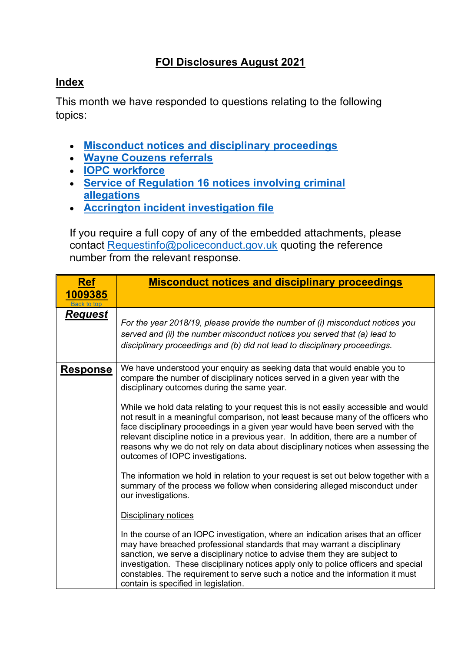## **FOI Disclosures August 2021**

## <span id="page-0-1"></span>**Index**

This month we have responded to questions relating to the following topics:

- **[Misconduct notices and disciplinary proceedings](#page-0-0)**
- **[Wayne Couzens referrals](#page-2-0)**
- **[IOPC workforce](#page-3-0)**
- **[Service of Regulation 16 notices involving criminal](#page-3-1)  [allegations](#page-3-1)**
- **[Accrington incident investigation file](#page-7-0)**

If you require a full copy of any of the embedded attachments, please contact [Requestinfo@policeconduct.gov.uk](mailto:Requestinfo@policeconduct.gov.uk) quoting the reference number from the relevant response.

<span id="page-0-0"></span>

| <b>Ref</b>      | <b>Misconduct notices and disciplinary proceedings</b>                                                                                                                                                                                                                                                                                                                                                                                                                 |
|-----------------|------------------------------------------------------------------------------------------------------------------------------------------------------------------------------------------------------------------------------------------------------------------------------------------------------------------------------------------------------------------------------------------------------------------------------------------------------------------------|
| 1009385         |                                                                                                                                                                                                                                                                                                                                                                                                                                                                        |
| Back to top     |                                                                                                                                                                                                                                                                                                                                                                                                                                                                        |
| <b>Request</b>  | For the year 2018/19, please provide the number of (i) misconduct notices you<br>served and (ii) the number misconduct notices you served that (a) lead to<br>disciplinary proceedings and (b) did not lead to disciplinary proceedings.                                                                                                                                                                                                                               |
| <u>Response</u> | We have understood your enquiry as seeking data that would enable you to<br>compare the number of disciplinary notices served in a given year with the<br>disciplinary outcomes during the same year.                                                                                                                                                                                                                                                                  |
|                 | While we hold data relating to your request this is not easily accessible and would<br>not result in a meaningful comparison, not least because many of the officers who<br>face disciplinary proceedings in a given year would have been served with the<br>relevant discipline notice in a previous year. In addition, there are a number of<br>reasons why we do not rely on data about disciplinary notices when assessing the<br>outcomes of IOPC investigations. |
|                 | The information we hold in relation to your request is set out below together with a<br>summary of the process we follow when considering alleged misconduct under<br>our investigations.                                                                                                                                                                                                                                                                              |
|                 | <b>Disciplinary notices</b>                                                                                                                                                                                                                                                                                                                                                                                                                                            |
|                 | In the course of an IOPC investigation, where an indication arises that an officer<br>may have breached professional standards that may warrant a disciplinary<br>sanction, we serve a disciplinary notice to advise them they are subject to<br>investigation. These disciplinary notices apply only to police officers and special<br>constables. The requirement to serve such a notice and the information it must<br>contain is specified in legislation.         |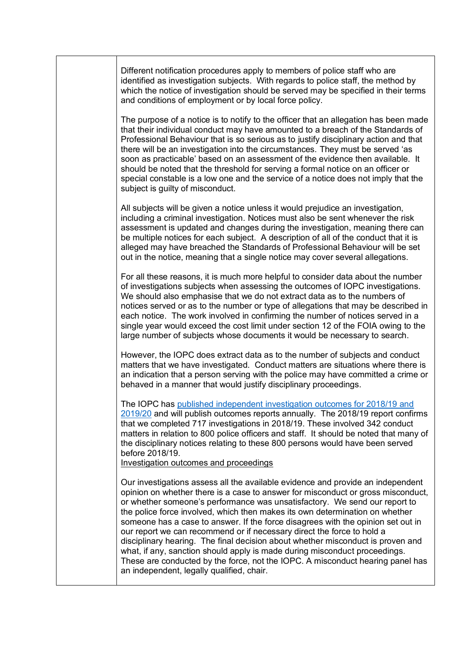Different notification procedures apply to members of police staff who are identified as investigation subjects. With regards to police staff, the method by which the notice of investigation should be served may be specified in their terms and conditions of employment or by local force policy.

The purpose of a notice is to notify to the officer that an allegation has been made that their individual conduct may have amounted to a breach of the Standards of Professional Behaviour that is so serious as to justify disciplinary action and that there will be an investigation into the circumstances. They must be served 'as soon as practicable' based on an assessment of the evidence then available. It should be noted that the threshold for serving a formal notice on an officer or special constable is a low one and the service of a notice does not imply that the subject is guilty of misconduct.

All subjects will be given a notice unless it would prejudice an investigation, including a criminal investigation. Notices must also be sent whenever the risk assessment is updated and changes during the investigation, meaning there can be multiple notices for each subject. A description of all of the conduct that it is alleged may have breached the Standards of Professional Behaviour will be set out in the notice, meaning that a single notice may cover several allegations.

For all these reasons, it is much more helpful to consider data about the number of investigations subjects when assessing the outcomes of IOPC investigations. We should also emphasise that we do not extract data as to the numbers of notices served or as to the number or type of allegations that may be described in each notice. The work involved in confirming the number of notices served in a single year would exceed the cost limit under section 12 of the FOIA owing to the large number of subjects whose documents it would be necessary to search.

However, the IOPC does extract data as to the number of subjects and conduct matters that we have investigated. Conduct matters are situations where there is an indication that a person serving with the police may have committed a crime or behaved in a manner that would justify disciplinary proceedings.

The IOPC has [published independent investigation outcomes for 2018/19 and](https://www.policeconduct.gov.uk/research-and-learning/statistics/iopc-independent-investigations-outcomes)  [2019/20](https://www.policeconduct.gov.uk/research-and-learning/statistics/iopc-independent-investigations-outcomes) and will publish outcomes reports annually. The 2018/19 report confirms that we completed 717 investigations in 2018/19. These involved 342 conduct matters in relation to 800 police officers and staff. It should be noted that many of the disciplinary notices relating to these 800 persons would have been served before 2018/19.

Investigation outcomes and proceedings

Our investigations assess all the available evidence and provide an independent opinion on whether there is a case to answer for misconduct or gross misconduct, or whether someone's performance was unsatisfactory. We send our report to the police force involved, which then makes its own determination on whether someone has a case to answer. If the force disagrees with the opinion set out in our report we can recommend or if necessary direct the force to hold a disciplinary hearing. The final decision about whether misconduct is proven and what, if any, sanction should apply is made during misconduct proceedings. These are conducted by the force, not the IOPC. A misconduct hearing panel has an independent, legally qualified, chair.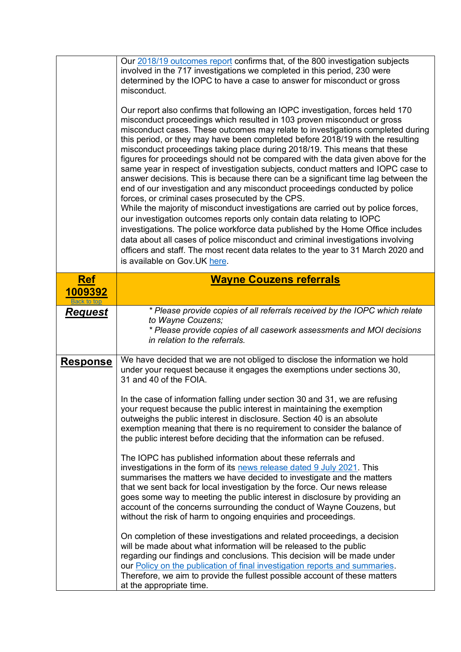<span id="page-2-0"></span>

|                        | Our 2018/19 outcomes report confirms that, of the 800 investigation subjects<br>involved in the 717 investigations we completed in this period, 230 were<br>determined by the IOPC to have a case to answer for misconduct or gross<br>misconduct.<br>Our report also confirms that following an IOPC investigation, forces held 170<br>misconduct proceedings which resulted in 103 proven misconduct or gross<br>misconduct cases. These outcomes may relate to investigations completed during<br>this period, or they may have been completed before 2018/19 with the resulting<br>misconduct proceedings taking place during 2018/19. This means that these<br>figures for proceedings should not be compared with the data given above for the<br>same year in respect of investigation subjects, conduct matters and IOPC case to<br>answer decisions. This is because there can be a significant time lag between the<br>end of our investigation and any misconduct proceedings conducted by police<br>forces, or criminal cases prosecuted by the CPS.<br>While the majority of misconduct investigations are carried out by police forces,<br>our investigation outcomes reports only contain data relating to IOPC<br>investigations. The police workforce data published by the Home Office includes<br>data about all cases of police misconduct and criminal investigations involving<br>officers and staff. The most recent data relates to the year to 31 March 2020 and<br>is available on Gov.UK here.          |
|------------------------|------------------------------------------------------------------------------------------------------------------------------------------------------------------------------------------------------------------------------------------------------------------------------------------------------------------------------------------------------------------------------------------------------------------------------------------------------------------------------------------------------------------------------------------------------------------------------------------------------------------------------------------------------------------------------------------------------------------------------------------------------------------------------------------------------------------------------------------------------------------------------------------------------------------------------------------------------------------------------------------------------------------------------------------------------------------------------------------------------------------------------------------------------------------------------------------------------------------------------------------------------------------------------------------------------------------------------------------------------------------------------------------------------------------------------------------------------------------------------------------------------------------------------------|
| <b>Ref</b>             | <b>Wayne Couzens referrals</b>                                                                                                                                                                                                                                                                                                                                                                                                                                                                                                                                                                                                                                                                                                                                                                                                                                                                                                                                                                                                                                                                                                                                                                                                                                                                                                                                                                                                                                                                                                     |
| 1009392<br>Back to top |                                                                                                                                                                                                                                                                                                                                                                                                                                                                                                                                                                                                                                                                                                                                                                                                                                                                                                                                                                                                                                                                                                                                                                                                                                                                                                                                                                                                                                                                                                                                    |
| <b>Request</b>         | * Please provide copies of all referrals received by the IOPC which relate<br>to Wayne Couzens;<br>* Please provide copies of all casework assessments and MOI decisions<br>in relation to the referrals.                                                                                                                                                                                                                                                                                                                                                                                                                                                                                                                                                                                                                                                                                                                                                                                                                                                                                                                                                                                                                                                                                                                                                                                                                                                                                                                          |
| <b>Response</b>        | We have decided that we are not obliged to disclose the information we hold<br>under your request because it engages the exemptions under sections 30,<br>31 and 40 of the FOIA.<br>In the case of information falling under section 30 and 31, we are refusing<br>your request because the public interest in maintaining the exemption<br>outweighs the public interest in disclosure. Section 40 is an absolute<br>exemption meaning that there is no requirement to consider the balance of<br>the public interest before deciding that the information can be refused.<br>The IOPC has published information about these referrals and<br>investigations in the form of its news release dated 9 July 2021. This<br>summarises the matters we have decided to investigate and the matters<br>that we sent back for local investigation by the force. Our news release<br>goes some way to meeting the public interest in disclosure by providing an<br>account of the concerns surrounding the conduct of Wayne Couzens, but<br>without the risk of harm to ongoing enquiries and proceedings.<br>On completion of these investigations and related proceedings, a decision<br>will be made about what information will be released to the public<br>regarding our findings and conclusions. This decision will be made under<br>our <b>Policy</b> on the publication of final investigation reports and summaries.<br>Therefore, we aim to provide the fullest possible account of these matters<br>at the appropriate time. |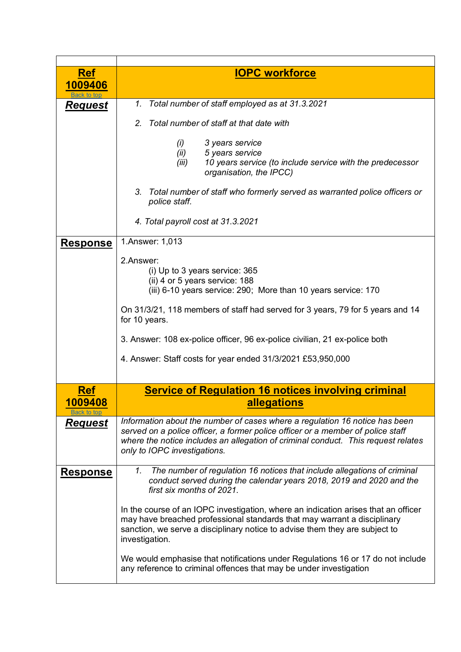<span id="page-3-1"></span><span id="page-3-0"></span>

| <b>Ref</b>                     | <b>IOPC workforce</b>                                                                                                                                                                                                                                                               |
|--------------------------------|-------------------------------------------------------------------------------------------------------------------------------------------------------------------------------------------------------------------------------------------------------------------------------------|
| 1009406                        |                                                                                                                                                                                                                                                                                     |
| <u>Request</u>                 | Total number of staff employed as at 31.3.2021<br>1.                                                                                                                                                                                                                                |
|                                | Total number of staff at that date with<br>2.                                                                                                                                                                                                                                       |
|                                | (i)<br>3 years service<br>(ii)<br>5 years service<br>10 years service (to include service with the predecessor<br>(iii)<br>organisation, the IPCC)                                                                                                                                  |
|                                | 3.<br>Total number of staff who formerly served as warranted police officers or<br>police staff.                                                                                                                                                                                    |
|                                | 4. Total payroll cost at 31.3.2021                                                                                                                                                                                                                                                  |
| <b>Response</b>                | 1.Answer: 1,013                                                                                                                                                                                                                                                                     |
|                                | 2.Answer:<br>(i) Up to 3 years service: 365<br>(ii) 4 or 5 years service: 188<br>(iii) 6-10 years service: 290; More than 10 years service: 170                                                                                                                                     |
|                                | On 31/3/21, 118 members of staff had served for 3 years, 79 for 5 years and 14<br>for 10 years.                                                                                                                                                                                     |
|                                | 3. Answer: 108 ex-police officer, 96 ex-police civilian, 21 ex-police both                                                                                                                                                                                                          |
|                                | 4. Answer: Staff costs for year ended 31/3/2021 £53,950,000                                                                                                                                                                                                                         |
| <u>Ref</u>                     | <b>Service of Regulation 16 notices involving criminal</b>                                                                                                                                                                                                                          |
| <u> 1009408</u><br>Back to top | <u>allegations</u>                                                                                                                                                                                                                                                                  |
| Request                        | Information about the number of cases where a regulation 16 notice has been<br>served on a police officer, a former police officer or a member of police staff<br>where the notice includes an allegation of criminal conduct. This request relates<br>only to IOPC investigations. |
| <u>Response</u>                | The number of regulation 16 notices that include allegations of criminal<br>1.<br>conduct served during the calendar years 2018, 2019 and 2020 and the<br>first six months of 2021.                                                                                                 |
|                                | In the course of an IOPC investigation, where an indication arises that an officer<br>may have breached professional standards that may warrant a disciplinary<br>sanction, we serve a disciplinary notice to advise them they are subject to<br>investigation.                     |
|                                | We would emphasise that notifications under Regulations 16 or 17 do not include<br>any reference to criminal offences that may be under investigation                                                                                                                               |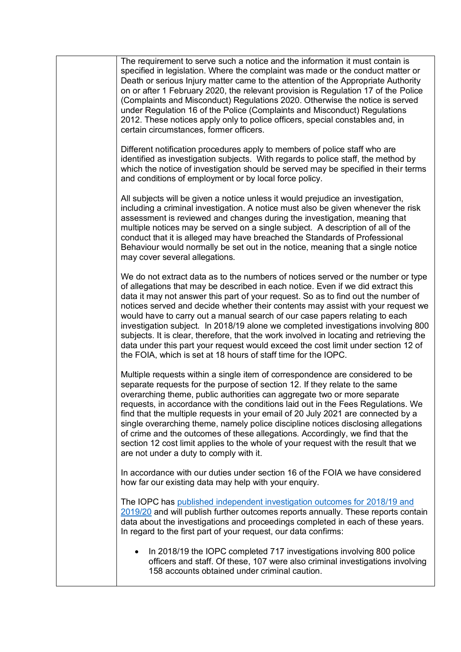The requirement to serve such a notice and the information it must contain is specified in legislation. Where the complaint was made or the conduct matter or Death or serious Injury matter came to the attention of the Appropriate Authority on or after 1 February 2020, the relevant provision is Regulation 17 of the Police (Complaints and Misconduct) Regulations 2020. Otherwise the notice is served under Regulation 16 of the Police (Complaints and Misconduct) Regulations 2012. These notices apply only to police officers, special constables and, in certain circumstances, former officers. Different notification procedures apply to members of police staff who are identified as investigation subjects. With regards to police staff, the method by which the notice of investigation should be served may be specified in their terms and conditions of employment or by local force policy. All subjects will be given a notice unless it would prejudice an investigation, including a criminal investigation. A notice must also be given whenever the risk assessment is reviewed and changes during the investigation, meaning that multiple notices may be served on a single subject. A description of all of the conduct that it is alleged may have breached the Standards of Professional Behaviour would normally be set out in the notice, meaning that a single notice may cover several allegations. We do not extract data as to the numbers of notices served or the number or type of allegations that may be described in each notice. Even if we did extract this data it may not answer this part of your request. So as to find out the number of notices served and decide whether their contents may assist with your request we would have to carry out a manual search of our case papers relating to each investigation subject. In 2018/19 alone we completed investigations involving 800 subjects. It is clear, therefore, that the work involved in locating and retrieving the data under this part your request would exceed the cost limit under section 12 of the FOIA, which is set at 18 hours of staff time for the IOPC. Multiple requests within a single item of correspondence are considered to be separate requests for the purpose of section 12. If they relate to the same overarching theme, public authorities can aggregate two or more separate requests, in accordance with the conditions laid out in the Fees Regulations. We find that the multiple requests in your email of 20 July 2021 are connected by a single overarching theme, namely police discipline notices disclosing allegations of crime and the outcomes of these allegations. Accordingly, we find that the section 12 cost limit applies to the whole of your request with the result that we are not under a duty to comply with it. In accordance with our duties under section 16 of the FOIA we have considered how far our existing data may help with your enquiry. The IOPC has [published independent investigation outcomes for 2018/19 and](https://www.policeconduct.gov.uk/research-and-learning/statistics/iopc-independent-investigations-outcomes)  [2019/20](https://www.policeconduct.gov.uk/research-and-learning/statistics/iopc-independent-investigations-outcomes) and will publish further outcomes reports annually. These reports contain data about the investigations and proceedings completed in each of these years. In regard to the first part of your request, our data confirms: • In 2018/19 the IOPC completed 717 investigations involving 800 police officers and staff. Of these, 107 were also criminal investigations involving 158 accounts obtained under criminal caution.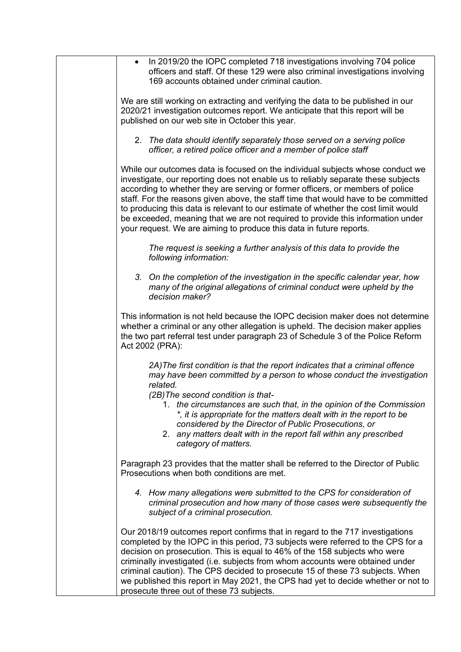| In 2019/20 the IOPC completed 718 investigations involving 704 police<br>$\bullet$<br>officers and staff. Of these 129 were also criminal investigations involving<br>169 accounts obtained under criminal caution.<br>We are still working on extracting and verifying the data to be published in our<br>2020/21 investigation outcomes report. We anticipate that this report will be<br>published on our web site in October this year.<br>2. The data should identify separately those served on a serving police<br>officer, a retired police officer and a member of police staff<br>While our outcomes data is focused on the individual subjects whose conduct we<br>investigate, our reporting does not enable us to reliably separate these subjects<br>according to whether they are serving or former officers, or members of police<br>staff. For the reasons given above, the staff time that would have to be committed<br>to producing this data is relevant to our estimate of whether the cost limit would<br>be exceeded, meaning that we are not required to provide this information under<br>your request. We are aiming to produce this data in future reports.<br>The request is seeking a further analysis of this data to provide the<br>following information:<br>3. On the completion of the investigation in the specific calendar year, how<br>many of the original allegations of criminal conduct were upheld by the<br>decision maker?<br>This information is not held because the IOPC decision maker does not determine<br>whether a criminal or any other allegation is upheld. The decision maker applies<br>the two part referral test under paragraph 23 of Schedule 3 of the Police Reform<br>Act 2002 (PRA):<br>2A) The first condition is that the report indicates that a criminal offence<br>may have been committed by a person to whose conduct the investigation<br>related.<br>(2B) The second condition is that-<br>1. the circumstances are such that, in the opinion of the Commission<br>*, it is appropriate for the matters dealt with in the report to be<br>considered by the Director of Public Prosecutions, or<br>2. any matters dealt with in the report fall within any prescribed<br>category of matters.<br>Paragraph 23 provides that the matter shall be referred to the Director of Public<br>Prosecutions when both conditions are met.<br>4. How many allegations were submitted to the CPS for consideration of<br>criminal prosecution and how many of those cases were subsequently the<br>subject of a criminal prosecution.<br>Our 2018/19 outcomes report confirms that in regard to the 717 investigations<br>completed by the IOPC in this period, 73 subjects were referred to the CPS for a<br>decision on prosecution. This is equal to 46% of the 158 subjects who were<br>criminally investigated (i.e. subjects from whom accounts were obtained under<br>criminal caution). The CPS decided to prosecute 15 of these 73 subjects. When<br>we published this report in May 2021, the CPS had yet to decide whether or not to<br>prosecute three out of these 73 subjects. |  |
|--------------------------------------------------------------------------------------------------------------------------------------------------------------------------------------------------------------------------------------------------------------------------------------------------------------------------------------------------------------------------------------------------------------------------------------------------------------------------------------------------------------------------------------------------------------------------------------------------------------------------------------------------------------------------------------------------------------------------------------------------------------------------------------------------------------------------------------------------------------------------------------------------------------------------------------------------------------------------------------------------------------------------------------------------------------------------------------------------------------------------------------------------------------------------------------------------------------------------------------------------------------------------------------------------------------------------------------------------------------------------------------------------------------------------------------------------------------------------------------------------------------------------------------------------------------------------------------------------------------------------------------------------------------------------------------------------------------------------------------------------------------------------------------------------------------------------------------------------------------------------------------------------------------------------------------------------------------------------------------------------------------------------------------------------------------------------------------------------------------------------------------------------------------------------------------------------------------------------------------------------------------------------------------------------------------------------------------------------------------------------------------------------------------------------------------------------------------------------------------------------------------------------------------------------------------------------------------------------------------------------------------------------------------------------------------------------------------------------------------------------------------------------------------------------------------------------------------------------------------------------------------------------------------------------------------------------------------------------------------------------------------------------------------------------------------------------------------------------------------------------------------------------------------|--|
|                                                                                                                                                                                                                                                                                                                                                                                                                                                                                                                                                                                                                                                                                                                                                                                                                                                                                                                                                                                                                                                                                                                                                                                                                                                                                                                                                                                                                                                                                                                                                                                                                                                                                                                                                                                                                                                                                                                                                                                                                                                                                                                                                                                                                                                                                                                                                                                                                                                                                                                                                                                                                                                                                                                                                                                                                                                                                                                                                                                                                                                                                                                                                              |  |
|                                                                                                                                                                                                                                                                                                                                                                                                                                                                                                                                                                                                                                                                                                                                                                                                                                                                                                                                                                                                                                                                                                                                                                                                                                                                                                                                                                                                                                                                                                                                                                                                                                                                                                                                                                                                                                                                                                                                                                                                                                                                                                                                                                                                                                                                                                                                                                                                                                                                                                                                                                                                                                                                                                                                                                                                                                                                                                                                                                                                                                                                                                                                                              |  |
|                                                                                                                                                                                                                                                                                                                                                                                                                                                                                                                                                                                                                                                                                                                                                                                                                                                                                                                                                                                                                                                                                                                                                                                                                                                                                                                                                                                                                                                                                                                                                                                                                                                                                                                                                                                                                                                                                                                                                                                                                                                                                                                                                                                                                                                                                                                                                                                                                                                                                                                                                                                                                                                                                                                                                                                                                                                                                                                                                                                                                                                                                                                                                              |  |
|                                                                                                                                                                                                                                                                                                                                                                                                                                                                                                                                                                                                                                                                                                                                                                                                                                                                                                                                                                                                                                                                                                                                                                                                                                                                                                                                                                                                                                                                                                                                                                                                                                                                                                                                                                                                                                                                                                                                                                                                                                                                                                                                                                                                                                                                                                                                                                                                                                                                                                                                                                                                                                                                                                                                                                                                                                                                                                                                                                                                                                                                                                                                                              |  |
|                                                                                                                                                                                                                                                                                                                                                                                                                                                                                                                                                                                                                                                                                                                                                                                                                                                                                                                                                                                                                                                                                                                                                                                                                                                                                                                                                                                                                                                                                                                                                                                                                                                                                                                                                                                                                                                                                                                                                                                                                                                                                                                                                                                                                                                                                                                                                                                                                                                                                                                                                                                                                                                                                                                                                                                                                                                                                                                                                                                                                                                                                                                                                              |  |
|                                                                                                                                                                                                                                                                                                                                                                                                                                                                                                                                                                                                                                                                                                                                                                                                                                                                                                                                                                                                                                                                                                                                                                                                                                                                                                                                                                                                                                                                                                                                                                                                                                                                                                                                                                                                                                                                                                                                                                                                                                                                                                                                                                                                                                                                                                                                                                                                                                                                                                                                                                                                                                                                                                                                                                                                                                                                                                                                                                                                                                                                                                                                                              |  |
|                                                                                                                                                                                                                                                                                                                                                                                                                                                                                                                                                                                                                                                                                                                                                                                                                                                                                                                                                                                                                                                                                                                                                                                                                                                                                                                                                                                                                                                                                                                                                                                                                                                                                                                                                                                                                                                                                                                                                                                                                                                                                                                                                                                                                                                                                                                                                                                                                                                                                                                                                                                                                                                                                                                                                                                                                                                                                                                                                                                                                                                                                                                                                              |  |
|                                                                                                                                                                                                                                                                                                                                                                                                                                                                                                                                                                                                                                                                                                                                                                                                                                                                                                                                                                                                                                                                                                                                                                                                                                                                                                                                                                                                                                                                                                                                                                                                                                                                                                                                                                                                                                                                                                                                                                                                                                                                                                                                                                                                                                                                                                                                                                                                                                                                                                                                                                                                                                                                                                                                                                                                                                                                                                                                                                                                                                                                                                                                                              |  |
|                                                                                                                                                                                                                                                                                                                                                                                                                                                                                                                                                                                                                                                                                                                                                                                                                                                                                                                                                                                                                                                                                                                                                                                                                                                                                                                                                                                                                                                                                                                                                                                                                                                                                                                                                                                                                                                                                                                                                                                                                                                                                                                                                                                                                                                                                                                                                                                                                                                                                                                                                                                                                                                                                                                                                                                                                                                                                                                                                                                                                                                                                                                                                              |  |
|                                                                                                                                                                                                                                                                                                                                                                                                                                                                                                                                                                                                                                                                                                                                                                                                                                                                                                                                                                                                                                                                                                                                                                                                                                                                                                                                                                                                                                                                                                                                                                                                                                                                                                                                                                                                                                                                                                                                                                                                                                                                                                                                                                                                                                                                                                                                                                                                                                                                                                                                                                                                                                                                                                                                                                                                                                                                                                                                                                                                                                                                                                                                                              |  |
|                                                                                                                                                                                                                                                                                                                                                                                                                                                                                                                                                                                                                                                                                                                                                                                                                                                                                                                                                                                                                                                                                                                                                                                                                                                                                                                                                                                                                                                                                                                                                                                                                                                                                                                                                                                                                                                                                                                                                                                                                                                                                                                                                                                                                                                                                                                                                                                                                                                                                                                                                                                                                                                                                                                                                                                                                                                                                                                                                                                                                                                                                                                                                              |  |
|                                                                                                                                                                                                                                                                                                                                                                                                                                                                                                                                                                                                                                                                                                                                                                                                                                                                                                                                                                                                                                                                                                                                                                                                                                                                                                                                                                                                                                                                                                                                                                                                                                                                                                                                                                                                                                                                                                                                                                                                                                                                                                                                                                                                                                                                                                                                                                                                                                                                                                                                                                                                                                                                                                                                                                                                                                                                                                                                                                                                                                                                                                                                                              |  |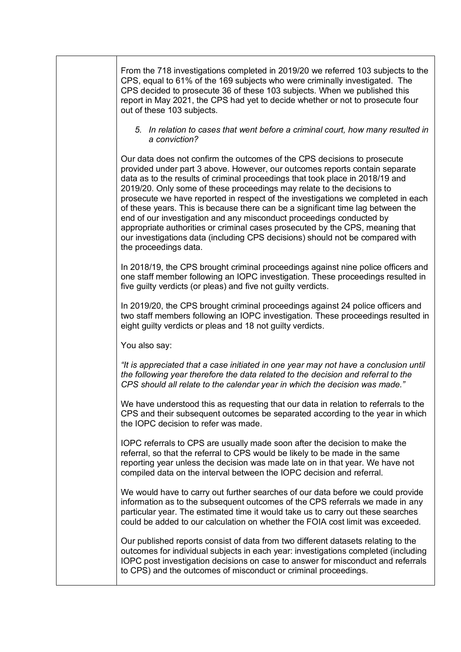From the 718 investigations completed in 2019/20 we referred 103 subjects to the CPS, equal to 61% of the 169 subjects who were criminally investigated. The CPS decided to prosecute 36 of these 103 subjects. When we published this report in May 2021, the CPS had yet to decide whether or not to prosecute four out of these 103 subjects.

## *5. In relation to cases that went before a criminal court, how many resulted in a conviction?*

Our data does not confirm the outcomes of the CPS decisions to prosecute provided under part 3 above. However, our outcomes reports contain separate data as to the results of criminal proceedings that took place in 2018/19 and 2019/20. Only some of these proceedings may relate to the decisions to prosecute we have reported in respect of the investigations we completed in each of these years. This is because there can be a significant time lag between the end of our investigation and any misconduct proceedings conducted by appropriate authorities or criminal cases prosecuted by the CPS, meaning that our investigations data (including CPS decisions) should not be compared with the proceedings data.

In 2018/19, the CPS brought criminal proceedings against nine police officers and one staff member following an IOPC investigation. These proceedings resulted in five guilty verdicts (or pleas) and five not guilty verdicts.

In 2019/20, the CPS brought criminal proceedings against 24 police officers and two staff members following an IOPC investigation. These proceedings resulted in eight guilty verdicts or pleas and 18 not guilty verdicts.

You also say:

*"It is appreciated that a case initiated in one year may not have a conclusion until the following year therefore the data related to the decision and referral to the CPS should all relate to the calendar year in which the decision was made."*

We have understood this as requesting that our data in relation to referrals to the CPS and their subsequent outcomes be separated according to the year in which the IOPC decision to refer was made.

IOPC referrals to CPS are usually made soon after the decision to make the referral, so that the referral to CPS would be likely to be made in the same reporting year unless the decision was made late on in that year. We have not compiled data on the interval between the IOPC decision and referral.

We would have to carry out further searches of our data before we could provide information as to the subsequent outcomes of the CPS referrals we made in any particular year. The estimated time it would take us to carry out these searches could be added to our calculation on whether the FOIA cost limit was exceeded.

Our published reports consist of data from two different datasets relating to the outcomes for individual subjects in each year: investigations completed (including IOPC post investigation decisions on case to answer for misconduct and referrals to CPS) and the outcomes of misconduct or criminal proceedings.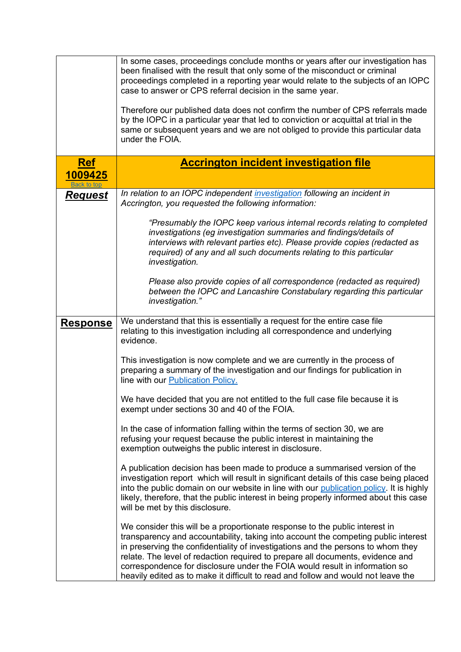<span id="page-7-0"></span>

|                 | In some cases, proceedings conclude months or years after our investigation has<br>been finalised with the result that only some of the misconduct or criminal<br>proceedings completed in a reporting year would relate to the subjects of an IOPC<br>case to answer or CPS referral decision in the same year.<br>Therefore our published data does not confirm the number of CPS referrals made<br>by the IOPC in a particular year that led to conviction or acquittal at trial in the<br>same or subsequent years and we are not obliged to provide this particular data<br>under the FOIA. |
|-----------------|--------------------------------------------------------------------------------------------------------------------------------------------------------------------------------------------------------------------------------------------------------------------------------------------------------------------------------------------------------------------------------------------------------------------------------------------------------------------------------------------------------------------------------------------------------------------------------------------------|
| <b>Ref</b>      | <b>Accrington incident investigation file</b>                                                                                                                                                                                                                                                                                                                                                                                                                                                                                                                                                    |
| 1009425         |                                                                                                                                                                                                                                                                                                                                                                                                                                                                                                                                                                                                  |
| <u>Request</u>  | In relation to an IOPC independent investigation following an incident in<br>Accrington, you requested the following information:<br>"Presumably the IOPC keep various internal records relating to completed                                                                                                                                                                                                                                                                                                                                                                                    |
|                 | investigations (eg investigation summaries and findings/details of<br>interviews with relevant parties etc). Please provide copies (redacted as<br>required) of any and all such documents relating to this particular<br>investigation.                                                                                                                                                                                                                                                                                                                                                         |
|                 | Please also provide copies of all correspondence (redacted as required)<br>between the IOPC and Lancashire Constabulary regarding this particular<br>investigation."                                                                                                                                                                                                                                                                                                                                                                                                                             |
| <u>Response</u> | We understand that this is essentially a request for the entire case file<br>relating to this investigation including all correspondence and underlying<br>evidence.                                                                                                                                                                                                                                                                                                                                                                                                                             |
|                 | This investigation is now complete and we are currently in the process of<br>preparing a summary of the investigation and our findings for publication in<br>line with our <b>Publication Policy.</b>                                                                                                                                                                                                                                                                                                                                                                                            |
|                 | We have decided that you are not entitled to the full case file because it is<br>exempt under sections 30 and 40 of the FOIA.                                                                                                                                                                                                                                                                                                                                                                                                                                                                    |
|                 | In the case of information falling within the terms of section 30, we are<br>refusing your request because the public interest in maintaining the<br>exemption outweighs the public interest in disclosure.                                                                                                                                                                                                                                                                                                                                                                                      |
|                 | A publication decision has been made to produce a summarised version of the<br>investigation report which will result in significant details of this case being placed<br>into the public domain on our website in line with our publication policy. It is highly<br>likely, therefore, that the public interest in being properly informed about this case<br>will be met by this disclosure.                                                                                                                                                                                                   |
|                 | We consider this will be a proportionate response to the public interest in<br>transparency and accountability, taking into account the competing public interest<br>in preserving the confidentiality of investigations and the persons to whom they<br>relate. The level of redaction required to prepare all documents, evidence and<br>correspondence for disclosure under the FOIA would result in information so<br>heavily edited as to make it difficult to read and follow and would not leave the                                                                                      |